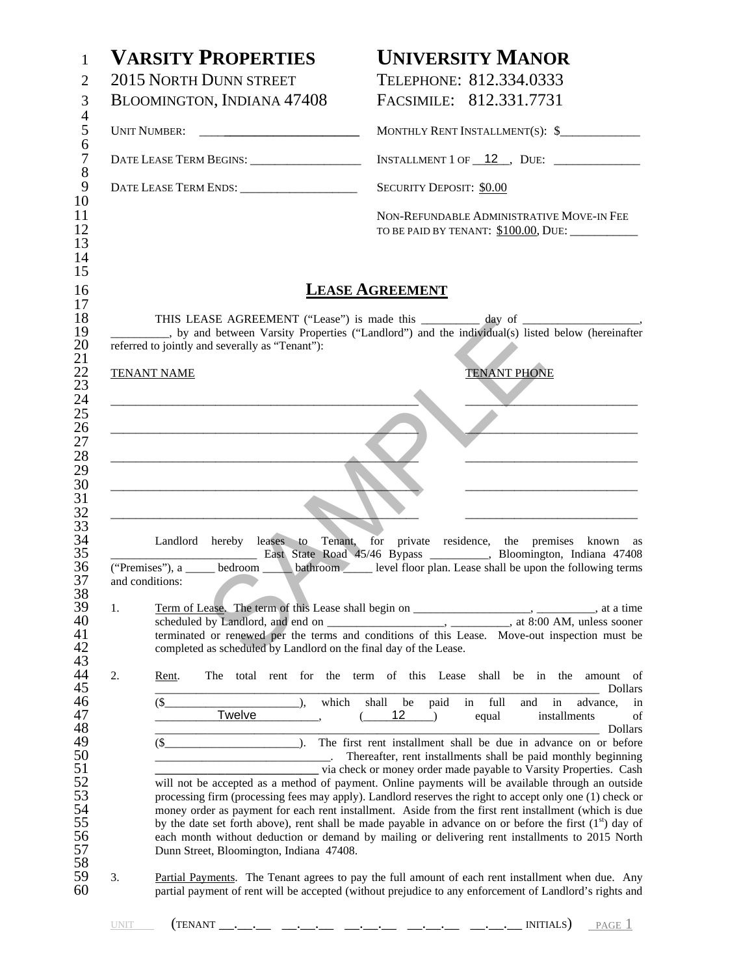| 2015 NORTH DUNN STREET<br>TELEPHONE: 812.334.0333<br>FACSIMILE: 812.331.7731<br>BLOOMINGTON, INDIANA 47408<br>MONTHLY RENT INSTALLMENT(S): \$<br>INSTALLMENT 1 OF $\frac{12}{\sqrt{2}}$ , DUE: $\frac{2}{\sqrt{2}}$<br>DATE LEASE TERM ENDS: ________________________<br><b>SECURITY DEPOSIT: \$0.00</b><br>NON-REFUNDABLE ADMINISTRATIVE MOVE-IN FEE<br>TO BE PAID BY TENANT: \$100.00, DUE: __________<br><b>LEASE AGREEMENT</b><br>THIS LEASE AGREEMENT ("Lease") is made this __________ day of __________________<br>__, by and between Varsity Properties ("Landlord") and the individual(s) listed below (hereinafter<br>referred to jointly and severally as "Tenant"):<br><b>TENANT PHONE</b><br><b>TENANT NAME</b><br><u> 2002 - Jan James James James James James James James James James James James James James James James James J</u><br><u> 2008 - Johann John Stein, mars an deus Amerikaansk kommunister (</u><br><u> 1989 - Johann Barn, mars an t-Amerikaansk politiker (</u><br>Landlord hereby leases to Tenant, for private residence, the premises known as<br>East State Road 45/46 Bypass _________, Bloomington, Indiana 47408<br>("Premises"), a <u>section</u> bathroom level floor plan. Lease shall be upon the following terms<br>and conditions:<br>1.<br>Term of Lease. The term of this Lease shall begin on _______________________, _________, at a time<br>completed as scheduled by Landlord on the final day of the Lease.<br>2.<br>The total rent for the term of this Lease shall be in the<br>Rent. |                             |  |  |  |  |
|------------------------------------------------------------------------------------------------------------------------------------------------------------------------------------------------------------------------------------------------------------------------------------------------------------------------------------------------------------------------------------------------------------------------------------------------------------------------------------------------------------------------------------------------------------------------------------------------------------------------------------------------------------------------------------------------------------------------------------------------------------------------------------------------------------------------------------------------------------------------------------------------------------------------------------------------------------------------------------------------------------------------------------------------------------------------------------------------------------------------------------------------------------------------------------------------------------------------------------------------------------------------------------------------------------------------------------------------------------------------------------------------------------------------------------------------------------------------------------------------------------------------------------------------|-----------------------------|--|--|--|--|
|                                                                                                                                                                                                                                                                                                                                                                                                                                                                                                                                                                                                                                                                                                                                                                                                                                                                                                                                                                                                                                                                                                                                                                                                                                                                                                                                                                                                                                                                                                                                                |                             |  |  |  |  |
|                                                                                                                                                                                                                                                                                                                                                                                                                                                                                                                                                                                                                                                                                                                                                                                                                                                                                                                                                                                                                                                                                                                                                                                                                                                                                                                                                                                                                                                                                                                                                |                             |  |  |  |  |
|                                                                                                                                                                                                                                                                                                                                                                                                                                                                                                                                                                                                                                                                                                                                                                                                                                                                                                                                                                                                                                                                                                                                                                                                                                                                                                                                                                                                                                                                                                                                                |                             |  |  |  |  |
|                                                                                                                                                                                                                                                                                                                                                                                                                                                                                                                                                                                                                                                                                                                                                                                                                                                                                                                                                                                                                                                                                                                                                                                                                                                                                                                                                                                                                                                                                                                                                |                             |  |  |  |  |
|                                                                                                                                                                                                                                                                                                                                                                                                                                                                                                                                                                                                                                                                                                                                                                                                                                                                                                                                                                                                                                                                                                                                                                                                                                                                                                                                                                                                                                                                                                                                                |                             |  |  |  |  |
|                                                                                                                                                                                                                                                                                                                                                                                                                                                                                                                                                                                                                                                                                                                                                                                                                                                                                                                                                                                                                                                                                                                                                                                                                                                                                                                                                                                                                                                                                                                                                |                             |  |  |  |  |
|                                                                                                                                                                                                                                                                                                                                                                                                                                                                                                                                                                                                                                                                                                                                                                                                                                                                                                                                                                                                                                                                                                                                                                                                                                                                                                                                                                                                                                                                                                                                                |                             |  |  |  |  |
|                                                                                                                                                                                                                                                                                                                                                                                                                                                                                                                                                                                                                                                                                                                                                                                                                                                                                                                                                                                                                                                                                                                                                                                                                                                                                                                                                                                                                                                                                                                                                |                             |  |  |  |  |
|                                                                                                                                                                                                                                                                                                                                                                                                                                                                                                                                                                                                                                                                                                                                                                                                                                                                                                                                                                                                                                                                                                                                                                                                                                                                                                                                                                                                                                                                                                                                                |                             |  |  |  |  |
|                                                                                                                                                                                                                                                                                                                                                                                                                                                                                                                                                                                                                                                                                                                                                                                                                                                                                                                                                                                                                                                                                                                                                                                                                                                                                                                                                                                                                                                                                                                                                |                             |  |  |  |  |
|                                                                                                                                                                                                                                                                                                                                                                                                                                                                                                                                                                                                                                                                                                                                                                                                                                                                                                                                                                                                                                                                                                                                                                                                                                                                                                                                                                                                                                                                                                                                                |                             |  |  |  |  |
|                                                                                                                                                                                                                                                                                                                                                                                                                                                                                                                                                                                                                                                                                                                                                                                                                                                                                                                                                                                                                                                                                                                                                                                                                                                                                                                                                                                                                                                                                                                                                |                             |  |  |  |  |
|                                                                                                                                                                                                                                                                                                                                                                                                                                                                                                                                                                                                                                                                                                                                                                                                                                                                                                                                                                                                                                                                                                                                                                                                                                                                                                                                                                                                                                                                                                                                                |                             |  |  |  |  |
|                                                                                                                                                                                                                                                                                                                                                                                                                                                                                                                                                                                                                                                                                                                                                                                                                                                                                                                                                                                                                                                                                                                                                                                                                                                                                                                                                                                                                                                                                                                                                |                             |  |  |  |  |
|                                                                                                                                                                                                                                                                                                                                                                                                                                                                                                                                                                                                                                                                                                                                                                                                                                                                                                                                                                                                                                                                                                                                                                                                                                                                                                                                                                                                                                                                                                                                                |                             |  |  |  |  |
|                                                                                                                                                                                                                                                                                                                                                                                                                                                                                                                                                                                                                                                                                                                                                                                                                                                                                                                                                                                                                                                                                                                                                                                                                                                                                                                                                                                                                                                                                                                                                |                             |  |  |  |  |
|                                                                                                                                                                                                                                                                                                                                                                                                                                                                                                                                                                                                                                                                                                                                                                                                                                                                                                                                                                                                                                                                                                                                                                                                                                                                                                                                                                                                                                                                                                                                                |                             |  |  |  |  |
|                                                                                                                                                                                                                                                                                                                                                                                                                                                                                                                                                                                                                                                                                                                                                                                                                                                                                                                                                                                                                                                                                                                                                                                                                                                                                                                                                                                                                                                                                                                                                |                             |  |  |  |  |
|                                                                                                                                                                                                                                                                                                                                                                                                                                                                                                                                                                                                                                                                                                                                                                                                                                                                                                                                                                                                                                                                                                                                                                                                                                                                                                                                                                                                                                                                                                                                                |                             |  |  |  |  |
|                                                                                                                                                                                                                                                                                                                                                                                                                                                                                                                                                                                                                                                                                                                                                                                                                                                                                                                                                                                                                                                                                                                                                                                                                                                                                                                                                                                                                                                                                                                                                |                             |  |  |  |  |
|                                                                                                                                                                                                                                                                                                                                                                                                                                                                                                                                                                                                                                                                                                                                                                                                                                                                                                                                                                                                                                                                                                                                                                                                                                                                                                                                                                                                                                                                                                                                                |                             |  |  |  |  |
|                                                                                                                                                                                                                                                                                                                                                                                                                                                                                                                                                                                                                                                                                                                                                                                                                                                                                                                                                                                                                                                                                                                                                                                                                                                                                                                                                                                                                                                                                                                                                | amount of<br><b>Dollars</b> |  |  |  |  |
| $$_$<br>in full<br>which<br>paid<br>$\lambda$<br>shall be<br>in<br>and                                                                                                                                                                                                                                                                                                                                                                                                                                                                                                                                                                                                                                                                                                                                                                                                                                                                                                                                                                                                                                                                                                                                                                                                                                                                                                                                                                                                                                                                         | advance,<br>in              |  |  |  |  |
| Twelve<br>12<br>(<br>installments<br>$\rightarrow$<br>equal                                                                                                                                                                                                                                                                                                                                                                                                                                                                                                                                                                                                                                                                                                                                                                                                                                                                                                                                                                                                                                                                                                                                                                                                                                                                                                                                                                                                                                                                                    | of<br>Dollars               |  |  |  |  |
| $\bar{a}$ .<br>$(\$\$<br>The first rent installment shall be due in advance on or before                                                                                                                                                                                                                                                                                                                                                                                                                                                                                                                                                                                                                                                                                                                                                                                                                                                                                                                                                                                                                                                                                                                                                                                                                                                                                                                                                                                                                                                       |                             |  |  |  |  |
| Thereafter, rent installments shall be paid monthly beginning<br>_ via check or money order made payable to Varsity Properties. Cash                                                                                                                                                                                                                                                                                                                                                                                                                                                                                                                                                                                                                                                                                                                                                                                                                                                                                                                                                                                                                                                                                                                                                                                                                                                                                                                                                                                                           |                             |  |  |  |  |
| will not be accepted as a method of payment. Online payments will be available through an outside<br>processing firm (processing fees may apply). Landlord reserves the right to accept only one (1) check or                                                                                                                                                                                                                                                                                                                                                                                                                                                                                                                                                                                                                                                                                                                                                                                                                                                                                                                                                                                                                                                                                                                                                                                                                                                                                                                                  |                             |  |  |  |  |
| money order as payment for each rent installment. Aside from the first rent installment (which is due                                                                                                                                                                                                                                                                                                                                                                                                                                                                                                                                                                                                                                                                                                                                                                                                                                                                                                                                                                                                                                                                                                                                                                                                                                                                                                                                                                                                                                          |                             |  |  |  |  |
| by the date set forth above), rent shall be made payable in advance on or before the first $(1st)$ day of                                                                                                                                                                                                                                                                                                                                                                                                                                                                                                                                                                                                                                                                                                                                                                                                                                                                                                                                                                                                                                                                                                                                                                                                                                                                                                                                                                                                                                      |                             |  |  |  |  |
| each month without deduction or demand by mailing or delivering rent installments to 2015 North<br>Dunn Street, Bloomington, Indiana 47408.                                                                                                                                                                                                                                                                                                                                                                                                                                                                                                                                                                                                                                                                                                                                                                                                                                                                                                                                                                                                                                                                                                                                                                                                                                                                                                                                                                                                    |                             |  |  |  |  |
| 3.<br>Partial Payments. The Tenant agrees to pay the full amount of each rent installment when due. Any<br>partial payment of rent will be accepted (without prejudice to any enforcement of Landlord's rights and                                                                                                                                                                                                                                                                                                                                                                                                                                                                                                                                                                                                                                                                                                                                                                                                                                                                                                                                                                                                                                                                                                                                                                                                                                                                                                                             |                             |  |  |  |  |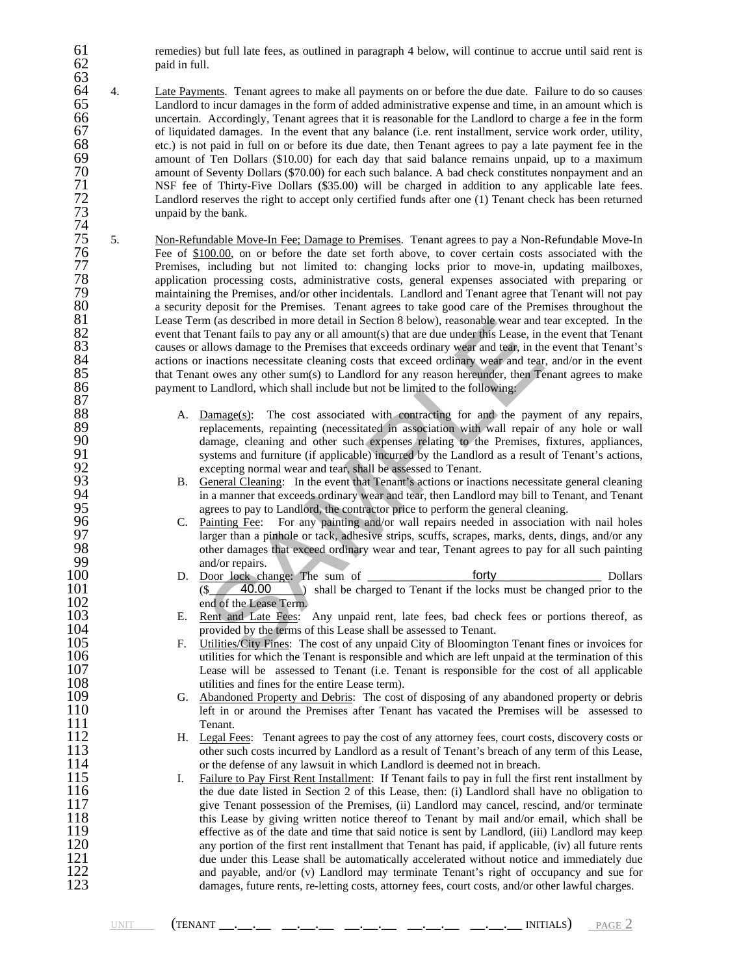61 remedies) but full late fees, as outlined in paragraph 4 below, will continue to accrue until said rent is paid in full.

- 63 64 4. Late Payments. Tenant agrees to make all payments on or before the due date. Failure to do so causes 65 Landlord to incur damages in the form of added administrative expense and time, in an amount which is 65 Landlord to incur damages in the form of added administrative expense and time, in an amount which is 66 uncertain. Accordingly, Tenant agrees that it is reasonable for the Landlord to charge a fee in the form of liquidated damages. In the event that any balance (i.e. rent installment, service work order, utility, 67 of liquidated damages. In the event that any balance (i.e. rent installment, service work order, utility, etc.) is not paid in full on or before its due date, then Tenant agrees to pay a late payment fee in the 68 etc.) is not paid in full on or before its due date, then Tenant agrees to pay a late payment fee in the amount of Ten Dollars (\$10.00) for each day that said balance remains unpaid, up to a maximum amount of Seventy Dollars (\$70.00) for each such balance. A bad check constitutes nonpayment and an NSF fee of Thirty-Five Dollars (\$35.00) will be charged in addition to any applicable late fees. Landlord reserves the right to accept only certified funds after one (1) Tenant check has been returned unpaid by the bank. 70<br>71<br>72<br>73<br>74<br>75<br>76
- m (as described in more detail in Section 8 below), reasonable wear and t<br>Tenant fails to pay any or all amount(s) that are due under this Lease, in<br>This and allows damage to the Premises that exceeds ordinary wear and te 75 5. Non-Refundable Move-In Fee; Damage to Premises. Tenant agrees to pay a Non-Refundable Move-In Fee of <u>\$100.00</u>, on or before the date set forth above, to cover certain costs associated with the<br>
Premises, including but not limited to: changing locks prior to move-in, updating mailboxes,<br>
application processing cost Premises, including but not limited to: changing locks prior to move-in, updating mailboxes, application processing costs, administrative costs, general expenses associated with preparing or maintaining the Premises, and/or other incidentals. Landlord and Tenant agree that Tenant will not pay 80 a security deposit for the Premises. Tenant agrees to take good care of the Premises throughout the 81 Lease Term (as described in more detail in Section 8 below), reasonable wear and tear excepted. In the 81 Lease Term (as described in more detail in Section 8 below), reasonable wear and tear excepted. In the event that Tenant fails to pay any or all amount(s) that are due under this Lease, in the event that Tenant causes o event that Tenant fails to pay any or all amount(s) that are due under this Lease, in the event that Tenant causes or allows damage to the Premises that exceeds ordinary wear and tear, in the event that Tenant's actions or inactions necessitate cleaning costs that exceed ordinary wear and tear, and/or in the event that Tenant owes any other sum(s) to Landlord for any reason hereunder, then Tenant agrees to make payment to Landlord, which shall include but not be limited to the following: 84<br>85<br>86<br>87<br>88
- 88 A. Damage(s): The cost associated with contracting for and the payment of any repairs, replacements, repainting (necessitated in association with wall repair of any hole or wall 89 replacements, repainting (necessitated in association with wall repair of any hole or wall damage, cleaning and other such expenses relating to the Premises, fixtures, appliances, 90 damage, cleaning and other such expenses relating to the Premises, fixtures, appliances,<br>
91 systems and furniture (if applicable) incurred by the Landlord as a result of Tenant's actions,<br>
excepting normal wear and tea systems and furniture (if applicable) incurred by the Landlord as a result of Tenant's actions, excepting normal wear and tear, shall be assessed to Tenant.
	- 93 B. General Cleaning: In the event that Tenant's actions or inactions necessitate general cleaning in a manner that exceeds ordinary wear and tear, then Landlord may bill to Tenant, and Tenant agrees to pay to Landlord, the contractor price to perform the general cleaning.
- C. Painting Fee: For any painting and/or wall repairs needed in association with nail holes 97 larger than a pinhole or tack, adhesive strips, scuffs, scrapes, marks, dents, dings, and/or any other damages that exceed ordinary wear and tear, Tenant agrees to pay for all such painting 98 other damages that exceed ordinary wear and tear, Tenant agrees to pay for all such painting and/or repairs. 99 and/or repairs.<br>100 D. Door lock cha
- 100 D. Door lock change: The sum of <u>forty</u> lock to the pollars Dollars (\$ 40.00 ) shall be charged to Tenant if the locks must be changed prior to the 101 (\$40.00) shall be charged to Tenant if the locks must be changed prior to the end of the Lease Term. 102 end of the Lease Term.<br>103 E. Rent and Late Fees: forty  $$ 40.00$
- 103 E. Rent and Late Fees: Any unpaid rent, late fees, bad check fees or portions thereof, as provided by the terms of this Lease shall be assessed to Tenant. 104 provided by the terms of this Lease shall be assessed to Tenant.<br>105 F. Utilities/City Fines: The cost of any unpaid City of Bloomington.
- 105 F. Utilities/City Fines: The cost of any unpaid City of Bloomington Tenant fines or invoices for utilities for which the Tenant is responsible and which are left unpaid at the termination of this 106 utilities for which the Tenant is responsible and which are left unpaid at the termination of this 107 Lease will be assessed to Tenant (i.e. Tenant is responsible for the cost of all applicable 107 Lease will be assessed to Tenant (i.e. Tenant is responsible for the cost of all applicable 108 108 utilities and fines for the entire Lease term).<br>109 G. Abandoned Property and Debris: The cost
- 109 G. Abandoned Property and Debris: The cost of disposing of any abandoned property or debris 110 110 left in or around the Premises after Tenant has vacated the Premises will be assessed to 111
- 111 Tenant.<br>112 H. Legal F 112 H. Legal Fees: Tenant agrees to pay the cost of any attorney fees, court costs, discovery costs or other such costs incurred by Landlord as a result of Tenant's breach of any term of this Lease, 113 other such costs incurred by Landlord as a result of Tenant's breach of any term of this Lease,<br>114 or the defense of any lawsuit in which Landlord is deemed not in breach. 114 or the defense of any lawsuit in which Landlord is deemed not in breach.<br>115 I. Failure to Pay First Rent Installment: If Tenant fails to pay in full the fir
- 115 I. Failure to Pay First Rent Installment: If Tenant fails to pay in full the first rent installment by the due date listed in Section 2 of this Lease, then: (i) Landlord shall have no obligation to 116 the due date listed in Section 2 of this Lease, then: (i) Landlord shall have no obligation to<br>117 since Tenant possession of the Premises. (ii) Landlord may cancel, rescind, and/or terminate 117 give Tenant possession of the Premises, (ii) Landlord may cancel, rescind, and/or terminate<br>118 this Lease by giving written notice thereof to Tenant by mail and/or email, which shall be 118 this Lease by giving written notice thereof to Tenant by mail and/or email, which shall be effective as of the date and time that said notice is sent by Landlord, (iii) Landlord may keep 119 effective as of the date and time that said notice is sent by Landlord, (iii) Landlord may keep any portion of the first rent installment that Tenant has paid, if applicable, (iv) all future rents 120 any portion of the first rent installment that Tenant has paid, if applicable, (iv) all future rents<br>121 due under this Lease shall be automatically accelerated without notice and immediately due 121 due under this Lease shall be automatically accelerated without notice and immediately due<br>122 and payable, and/or (y) Landlord may terminate Tenant's right of occupancy and sue for 122 and payable, and/or (v) Landlord may terminate Tenant's right of occupancy and sue for<br>123 damages, future rents, re-letting costs, attorney fees, court costs, and/or other lawful charges. damages, future rents, re-letting costs, attorney fees, court costs, and/or other lawful charges.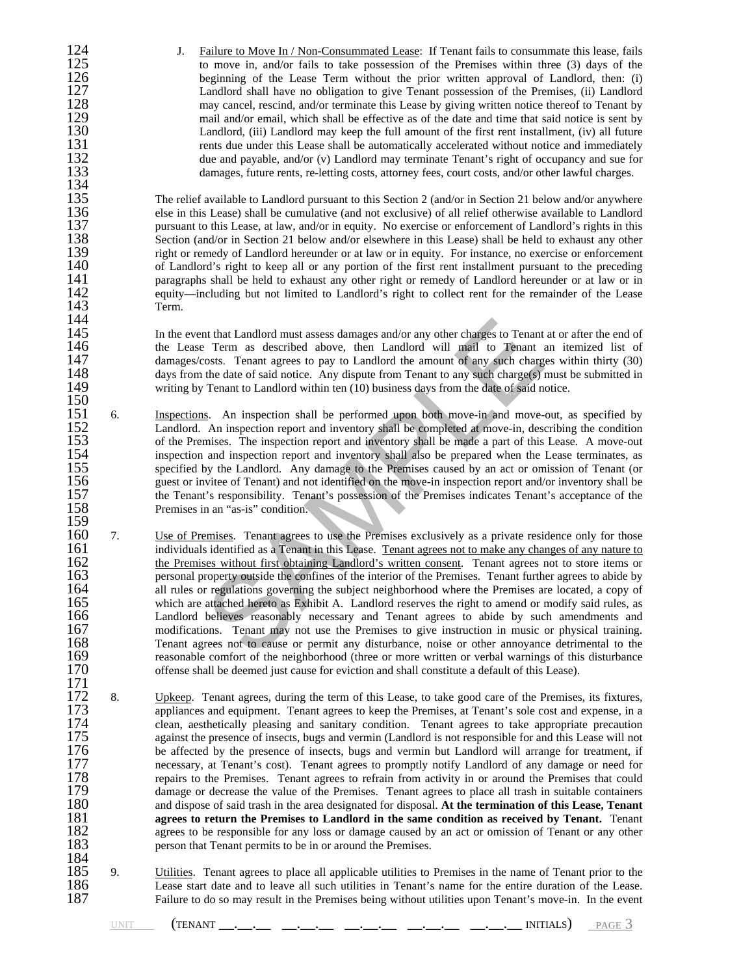134<br>135<br>136

144<br>145

124 J. Failure to Move In / Non-Consummated Lease: If Tenant fails to consummate this lease, fails<br>125 to move in, and/or fails to take possession of the Premises within three (3) days of the 125 to move in, and/or fails to take possession of the Premises within three (3) days of the 126 to beginning of the Lease Term without the prior written approval of Landlord, then: (i) 126 beginning of the Lease Term without the prior written approval of Landlord, then: (i)<br>127 Landlord shall have no obligation to give Tenant possession of the Premises. (ii) Landlord 127 Landlord shall have no obligation to give Tenant possession of the Premises, (ii) Landlord<br>128 may cancel, rescind, and/or terminate this Lease by giving written notice thereof to Tenant by 128 may cancel, rescind, and/or terminate this Lease by giving written notice thereof to Tenant by<br>129 mail and/or email, which shall be effective as of the date and time that said notice is sent by 129 mail and/or email, which shall be effective as of the date and time that said notice is sent by<br>130 Landlord, (iii) Landlord may keep the full amount of the first rent installment, (iv) all future 130 Landlord, (iii) Landlord may keep the full amount of the first rent installment, (iv) all future rents due under this Lease shall be automatically accelerated without notice and immediately 131 rents due under this Lease shall be automatically accelerated without notice and immediately<br>132 due and payable, and/or (v) Landlord may terminate Tenant's right of occupancy and sue for 132 due and payable, and/or (v) Landlord may terminate Tenant's right of occupancy and sue for<br>133 damages, future rents, re-letting costs, attorney fees, court costs, and/or other lawful charges. damages, future rents, re-letting costs, attorney fees, court costs, and/or other lawful charges.

The relief available to Landlord pursuant to this Section 2 (and/or in Section 21 below and/or anywhere 136 else in this Lease) shall be cumulative (and not exclusive) of all relief otherwise available to Landlord<br>137 pursuant to this Lease, at law, and/or in equity. No exercise or enforcement of Landlord's rights in this 137 pursuant to this Lease, at law, and/or in equity. No exercise or enforcement of Landlord's rights in this 138 Section (and/or in Section 21 below and/or elsewhere in this Lease) shall be held to exhaust any other 138 Section (and/or in Section 21 below and/or elsewhere in this Lease) shall be held to exhaust any other 139 right or remedy of Landlord hereunder or at law or in equity. For instance, no exercise or enforcement 139 right or remedy of Landlord hereunder or at law or in equity. For instance, no exercise or enforcement 140 of Landlord's right to keep all or any portion of the first rent installment pursuant to the preceding 140 of Landlord's right to keep all or any portion of the first rent installment pursuant to the preceding<br>141 paragraphs shall be held to exhaust any other right or remedy of Landlord hereunder or at law or in 141 paragraphs shall be held to exhaust any other right or remedy of Landlord hereunder or at law or in 142 equity—including but not limited to Landlord's right to collect rent for the remainder of the Lease 142 equity—including but not limited to Landlord's right to collect rent for the remainder of the Lease 143 Term.

145 In the event that Landlord must assess damages and/or any other charges to Tenant at or after the end of the Lease Term as described above, then Landlord will mail to Tenant an itemized list of 146 the Lease Term as described above, then Landlord will mail to Tenant an itemized list of damages/costs. Tenant agrees to pay to Landlord the amount of any such charges within thirty (30) 147 damages/costs. Tenant agrees to pay to Landlord the amount of any such charges within thirty (30) days from the date of said notice. Any dispute from Tenant to any such charge(s) must be submitted in 148 days from the date of said notice. Any dispute from Tenant to any such charge(s) must be submitted in<br>149 writing by Tenant to Landlord within ten (10) business days from the date of said notice. writing by Tenant to Landlord within ten (10) business days from the date of said notice.

- $\frac{150}{151}$ 151 6. Inspections. An inspection shall be performed upon both move-in and move-out, as specified by<br>152 Landlord. An inspection report and inventory shall be completed at move-in, describing the condition<br>153 of the Premi Landlord. An inspection report and inventory shall be completed at move-in, describing the condition 153 of the Premises. The inspection report and inventory shall be made a part of this Lease. A move-out inspection and inspection report and inventory shall also be prepared when the Lease terminates, as 154 inspection and inspection report and inventory shall also be prepared when the Lease terminates, as<br>155 specified by the Landlord. Any damage to the Premises caused by an act or omission of Tenant (or 155 specified by the Landlord. Any damage to the Premises caused by an act or omission of Tenant (or quest or invitee of Tenant) and not identified on the move-in inspection report and/or inventory shall be the Tenant's re guest or invitee of Tenant) and not identified on the move-in inspection report and/or inventory shall be 157 the Tenant's responsibility. Tenant's possession of the Premises indicates Tenant's acceptance of the Premises in an "as-is" condition. Premises in an "as-is" condition.
- It that Landlord must assess damages and/or any other charges to Tenant<br>
1. Term as described above, then Landlord will mail to Tenant<br>
1. Term as described above, then Landlord the amount of any such charge<br>
the date of s 159<br>160 160 7. <u>Use of Premises</u>. Tenant agrees to use the Premises exclusively as a private residence only for those individuals identified as a Tenant in this Lease. Tenant agrees not to make any changes of any nature to 161 individuals identified as a Tenant in this Lease. Tenant agrees not to make any changes of any nature to<br>162 the Premises without first obtaining Landlord's written consent. Tenant agrees not to store items or 162 the Premises without first obtaining Landlord's written consent. Tenant agrees not to store items or personal property outside the confines of the interior of the Premises. Tenant further agrees to abide by 163 personal property outside the confines of the interior of the Premises. Tenant further agrees to abide by<br>164 all rules or regulations governing the subject neighborhood where the Premises are located, a copy of 164 all rules or regulations governing the subject neighborhood where the Premises are located, a copy of which are attached hereto as Exhibit A. Landlord reserves the right to amend or modify said rules, as Landlord belie which are attached hereto as Exhibit A. Landlord reserves the right to amend or modify said rules, as 166 Landlord believes reasonably necessary and Tenant agrees to abide by such amendments and modifications. Tenant may not use the Premises to give instruction in music or physical training. 167 modifications. Tenant may not use the Premises to give instruction in music or physical training.<br>168 Tenant agrees not to cause or permit any disturbance, noise or other annoyance detrimental to the 168 Tenant agrees not to cause or permit any disturbance, noise or other annoyance detrimental to the reasonable comfort of the neighborhood (three or more written or verbal warnings of this disturbance 169 reasonable comfort of the neighborhood (three or more written or verbal warnings of this disturbance offense shall be deemed just cause for eviction and shall constitute a default of this Lease). offense shall be deemed just cause for eviction and shall constitute a default of this Lease).
- $\frac{171}{172}$ <br>173 8. Upkeep. Tenant agrees, during the term of this Lease, to take good care of the Premises, its fixtures, 173 appliances and equipment. Tenant agrees to keep the Premises, at Tenant's sole cost and expense, in a clean, aesthetically pleasing and sanitary condition. Tenant agrees to take appropriate precaution 174 clean, aesthetically pleasing and sanitary condition. Tenant agrees to take appropriate precaution against the presence of insects, bugs and vermin (Landlord is not responsible for and this Lease will not 175 against the presence of insects, bugs and vermin (Landlord is not responsible for and this Lease will not<br>176 be affected by the presence of insects, bugs and vermin but Landlord will arrange for treatment, if 176 be affected by the presence of insects, bugs and vermin but Landlord will arrange for treatment, if necessary, at Tenant's cost). Tenant agrees to promptly notify Landlord of any damage or need for 177 necessary, at Tenant's cost). Tenant agrees to promptly notify Landlord of any damage or need for<br>178 repairs to the Premises. Tenant agrees to refrain from activity in or around the Premises that could 178 repairs to the Premises. Tenant agrees to refrain from activity in or around the Premises that could<br>179 damage or decrease the value of the Premises. Tenant agrees to place all trash in suitable containers 179 damage or decrease the value of the Premises. Tenant agrees to place all trash in suitable containers 180 and dispose of said trash in the area designated for disposal. At the termination of this Lease, Tenant 180 and dispose of said trash in the area designated for disposal. At the termination of this Lease, Tenant agrees to return the Premises to Landlord in the same condition as received by Tenant. Tenant 181 **agrees to return the Premises to Landlord in the same condition as received by Tenant.** Tenant 182 agrees to be responsible for any loss or damage caused by an act or omission of Tenant or any other 182 agrees to be responsible for any loss or damage caused by an act or omission of Tenant or any other 183 person that Tenant permits to be in or around the Premises.
- $\frac{184}{185}$ 185 9. Utilities. Tenant agrees to place all applicable utilities to Premises in the name of Tenant prior to the Lease start date and to leave all such utilities in Tenant's name for the entire duration of the Lease. 186 Lease start date and to leave all such utilities in Tenant's name for the entire duration of the Lease.<br>187 Failure to do so may result in the Premises being without utilities upon Tenant's move-in. In the event Failure to do so may result in the Premises being without utilities upon Tenant's move-in. In the event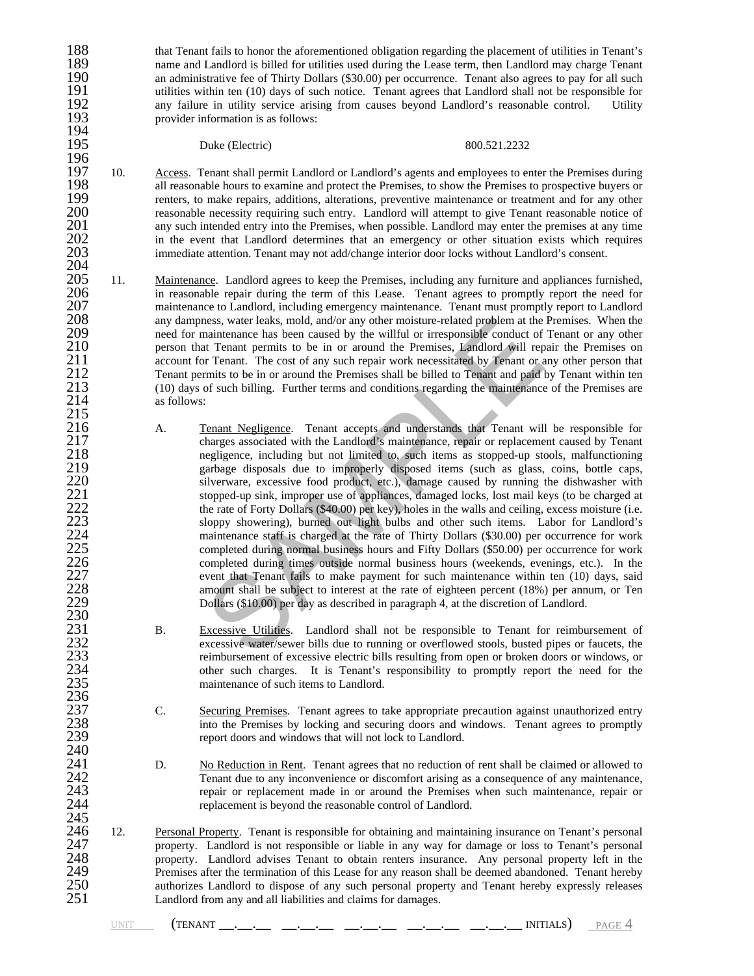188 that Tenant fails to honor the aforementioned obligation regarding the placement of utilities in Tenant's<br>189 name and Landlord is billed for utilities used during the Lease term, then Landlord may charge Tenant 189 hame and Landlord is billed for utilities used during the Lease term, then Landlord may charge Tenant<br>190 https://www.an-administrative fee of Thirty Dollars (\$30.00) per occurrence. Tenant also agrees to pay for all s 190 an administrative fee of Thirty Dollars (\$30.00) per occurrence. Tenant also agrees to pay for all such<br>191 utilities within ten (10) days of such notice. Tenant agrees that Landlord shall not be responsible for 191 utilities within ten (10) days of such notice. Tenant agrees that Landlord shall not be responsible for<br>192 any failure in utility service arising from causes beyond Landlord's reasonable control. Utility 192 any failure in utility service arising from causes beyond Landlord's reasonable control. Utility provider information is as follows: provider information is as follows:

Duke (Electric) 800.521.2232

194<br>195

229<br>230<br>231

236<br>237

240<br>241

- 196<br>197 197 10. Access. Tenant shall permit Landlord or Landlord's agents and employees to enter the Premises during 198 all reasonable hours to examine and protect the Premises. to show the Premises to prospective buyers or 198 all reasonable hours to examine and protect the Premises, to show the Premises to prospective buyers or<br>199 renters, to make repairs, additions, alterations, preventive maintenance or treatment and for any other 199 renters, to make repairs, additions, alterations, preventive maintenance or treatment and for any other<br>200 reasonable necessity requiring such entry. Landlord will attempt to give Tenant reasonable notice of 200 reasonable necessity requiring such entry. Landlord will attempt to give Tenant reasonable notice of 201 any such intended entry into the Premises, when possible. Landlord may enter the premises at any time 201 any such intended entry into the Premises, when possible. Landlord may enter the premises at any time<br>202 in the event that Landlord determines that an emergency or other situation exists which requires 202 in the event that Landlord determines that an emergency or other situation exists which requires 203 immediate attention. Tenant may not add/change interior door locks without Landlord's consent. immediate attention. Tenant may not add/change interior door locks without Landlord's consent.
- 204 205 11. Maintenance. Landlord agrees to keep the Premises, including any furniture and appliances furnished,<br>206 in reasonable repair during the term of this Lease. Tenant agrees to promptly report the need for 206 in reasonable repair during the term of this Lease. Tenant agrees to promptly report the need for<br>207 maintenance to Landlord, including emergency maintenance. Tenant must promptly report to Landlord 207 maintenance to Landlord, including emergency maintenance. Tenant must promptly report to Landlord<br>208 any dampness, water leaks, mold, and/or any other moisture-related problem at the Premises. When the 208 any dampness, water leaks, mold, and/or any other moisture-related problem at the Premises. When the 209 eneed for maintenance has been caused by the willful or irresponsible conduct of Tenant or any other 209 need for maintenance has been caused by the willful or irresponsible conduct of Tenant or any other<br>210 nerson that Tenant permits to be in or around the Premises, Landlord will repair the Premises on 210 person that Tenant permits to be in or around the Premises, Landlord will repair the Premises on account for Tenant. The cost of any such repair work necessitated by Tenant or any other person that 211 account for Tenant. The cost of any such repair work necessitated by Tenant or any other person that 212 Tenant permits to be in or around the Premises shall be billed to Tenant and paid by Tenant within ten 212 Tenant permits to be in or around the Premises shall be billed to Tenant and paid by Tenant within ten<br>213 (10) days of such billing. Further terms and conditions regarding the maintenance of the Premises are 213 (10) days of such billing. Further terms and conditions regarding the maintenance of the Premises are as follows:  $^{215}_{216}$
- naintenance has been caused by the willful or irresponsible conduct of<br>naintenance has been caused by the willful or irresponsible conduct of<br>minimum and parameter and the memiss of the willful or irresponsible conduct of<br> 216 A. Tenant Negligence. Tenant accepts and understands that Tenant will be responsible for charges associated with the Landlord's maintenance, repair or replacement caused by Tenant 217 charges associated with the Landlord's maintenance, repair or replacement caused by Tenant<br>218 engligence, including but not limited to, such items as stopped-up stools, malfunctioning 218 18 negligence, including but not limited to, such items as stopped-up stools, malfunctioning<br>219 negligence disposals due to improperly disposed items (such as glass, coins, bottle caps, 219 garbage disposals due to improperly disposed items (such as glass, coins, bottle caps, silverware, excessive food product, etc.), damage caused by running the dishwasher with stopped-up sink, improper use of appliances silverware, excessive food product, etc.), damage caused by running the dishwasher with 221 stopped-up sink, improper use of appliances, damaged locks, lost mail keys (to be charged at the rate of Forty Dollars (\$40.00) per key), holes in the walls and ceiling, excess moisture (i.e. 223 sloppy showering), bur the rate of Forty Dollars (\$40.00) per key), holes in the walls and ceiling, excess moisture (i.e. 223 sloppy showering), burned out light bulbs and other such items. Labor for Landlord's maintenance staff is charged at the rate of Thirty Dollars (\$30.00) per occurrence for work 224 maintenance staff is charged at the rate of Thirty Dollars (\$30.00) per occurrence for work<br>225 completed during normal business hours and Fifty Dollars (\$50.00) per occurrence for work 225 completed during normal business hours and Fifty Dollars (\$50.00) per occurrence for work<br>226 completed during times outside normal business hours (weekends, evenings, etc.). In the 226 completed during times outside normal business hours (weekends, evenings, etc.). In the event that Tenant fails to make payment for such maintenance within ten (10) days, said amount shall be subject to interest at the event that Tenant fails to make payment for such maintenance within ten (10) days, said amount shall be subject to interest at the rate of eighteen percent (18%) per annum, or Ten Dollars (\$10.00) per day as described in paragraph 4, at the discretion of Landlord.
- 231 B. Excessive Utilities. Landlord shall not be responsible to Tenant for reimbursement of excessive water/sewer bills due to running or overflowed stools, busted pipes or faucets, the reimbursement of excessive electric 232 excessive water/sewer bills due to running or overflowed stools, busted pipes or faucets, the 233 reimbursement of excessive electric bills resulting from open or broken doors or windows, or other such charges. It is Tenant's responsibility to promptly report the need for the maintenance of such items to Landlord. 234 other such charges. It is Tenant's responsibility to promptly report the need for the maintenance of such items to Landlord.
- 237 C. Securing Premises. Tenant agrees to take appropriate precaution against unauthorized entry<br>238 into the Premises by locking and securing doors and windows. Tenant agrees to promptly<br>239 report doors and windows that 238 into the Premises by locking and securing doors and windows. Tenant agrees to promptly report doors and windows that will not lock to Landlord.
- 241 D. No Reduction in Rent. Tenant agrees that no reduction of rent shall be claimed or allowed to 242 Tenant due to any inconvenience or discomfort arising as a consequence of any maintenance. 242 Tenant due to any inconvenience or discomfort arising as a consequence of any maintenance, repair or replacement made in or around the Premises when such maintenance, repair or replacement is beyond the reasonable cont repair or replacement made in or around the Premises when such maintenance, repair or replacement is beyond the reasonable control of Landlord.
- $\frac{245}{246}$ 246 12. Personal Property. Tenant is responsible for obtaining and maintaining insurance on Tenant's personal property. Landlord is not responsible or liable in any way for damage or loss to Tenant's personal 247 property. Landlord is not responsible or liable in any way for damage or loss to Tenant's personal<br>248 property. Landlord advises Tenant to obtain renters insurance. Any personal property left in the 248 property. Landlord advises Tenant to obtain renters insurance. Any personal property left in the 249 Premises after the termination of this Lease for any reason shall be deemed abandoned. Tenant hereby 249 Premises after the termination of this Lease for any reason shall be deemed abandoned. Tenant hereby authorizes Landlord to dispose of any such personal property and Tenant hereby expressly releases 251 Landlord from a authorizes Landlord to dispose of any such personal property and Tenant hereby expressly releases Landlord from any and all liabilities and claims for damages.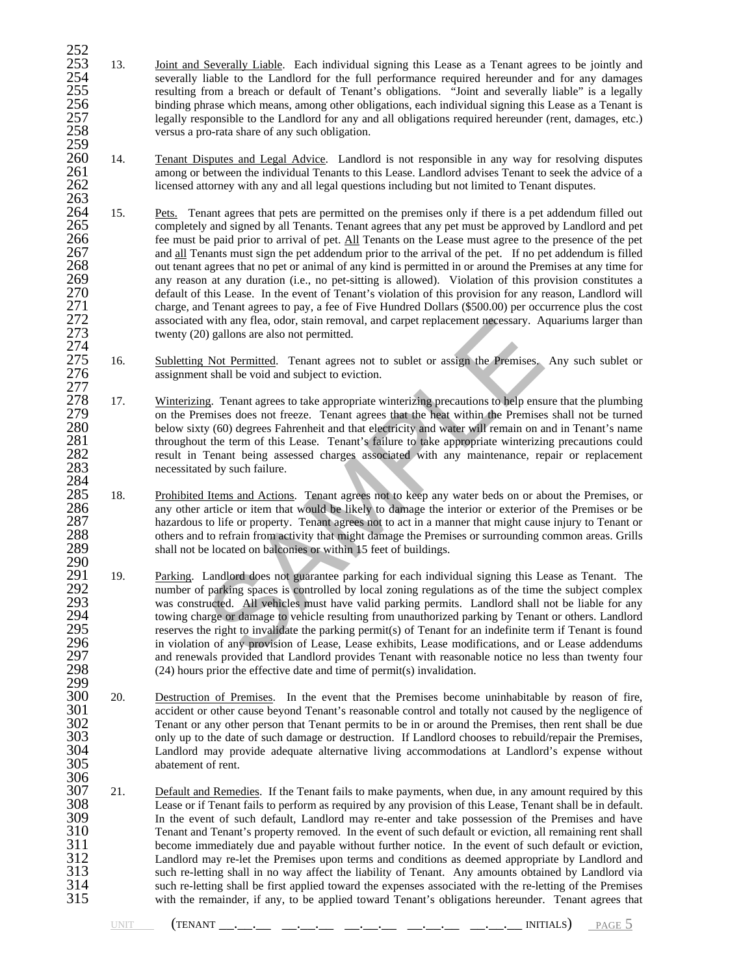- 252<br>253<br>254 253 13. Joint and Severally Liable. Each individual signing this Lease as a Tenant agrees to be jointly and 254 severally liable to the Landlord for the full performance required hereunder and for any damages<br>255 resulting from a breach or default of Tenant's obligations. "Joint and severally liable" is a legally 255 resulting from a breach or default of Tenant's obligations. "Joint and severally liable" is a legally<br>256 binding phrase which means, among other obligations, each individual signing this Lease as a Tenant is<br>257 legal 256 binding phrase which means, among other obligations, each individual signing this Lease as a Tenant is 257 legally responsible to the Landlord for any and all obligations required hereunder (rent, damages, etc.)<br>258 versus a pro-rata share of any such obligation. versus a pro-rata share of any such obligation.
- 259<br>260 260 14. Tenant Disputes and Legal Advice. Landlord is not responsible in any way for resolving disputes 261 among or between the individual Tenants to this Lease. Landlord advises Tenant to seek the advice of a 261 among or between the individual Tenants to this Lease. Landlord advises Tenant to seek the advice of a<br>262 licensed attorney with any and all legal questions including but not limited to Tenant disputes. 262 licensed attorney with any and all legal questions including but not limited to Tenant disputes.
- 263 264 15. Pets. Tenant agrees that pets are permitted on the premises only if there is a pet addendum filled out completely and signed by all Tenants. Tenant agrees that any pet must be approved by Landlord and pet 265 completely and signed by all Tenants. Tenant agrees that any pet must be approved by Landlord and pet 266 fee must be paid prior to arrival of pet. All Tenants on the Lease must agree to the presence of the pet 266 fee must be paid prior to arrival of pet. All Tenants on the Lease must agree to the presence of the pet addendum prior to the arrival of the pet. If no pet addendum is filled 267 and all Tenants must sign the pet addendum prior to the arrival of the pet. If no pet addendum is filled 268 out tenant agrees that no pet or animal of any kind is permitted in or around the Premises at any time for 268 out tenant agrees that no pet or animal of any kind is permitted in or around the Premises at any time for<br>269 any reason at any duration (i.e., no pet-sitting is allowed). Violation of this provision constitutes a 269 any reason at any duration (i.e., no pet-sitting is allowed). Violation of this provision constitutes a default of this Lease. In the event of Tenant's violation of this provision for any reason, Landlord will charge, 270 default of this Lease. In the event of Tenant's violation of this provision for any reason, Landlord will 271 charge, and Tenant agrees to pay, a fee of Five Hundred Dollars (\$500.00) per occurrence plus the cost associated with any flea, odor, stain removal, and carpet replacement necessary. Aquariums larger than associated with any flea, odor, stain removal, and carpet replacement necessary. Aquariums larger than twenty (20) gallons are also not permitted.  $\frac{273}{274}$ <br>274
- 275 16. Subletting Not Permitted. Tenant agrees not to sublet or assign the Premises. Any such sublet or assignment shall be void and subject to eviction. assignment shall be void and subject to eviction.
- $\frac{277}{278}$ 278 17. Winterizing. Tenant agrees to take appropriate winterizing precautions to help ensure that the plumbing 279 on the Premises does not freeze. Tenant agrees that the heat within the Premises shall not be turned 279 on the Premises does not freeze. Tenant agrees that the heat within the Premises shall not be turned 280 below sixty (60) degrees Fahrenheit and that electricity and water will remain on and in Tenant's name 280 below sixty (60) degrees Fahrenheit and that electricity and water will remain on and in Tenant's name throughout the term of this Lease. Tenant's failure to take appropriate winterizing precautions could 281 throughout the term of this Lease. Tenant's failure to take appropriate winterizing precautions could result in Tenant being assessed charges associated with any maintenance, repair or replacement 282 result in Tenant being assessed charges associated with any maintenance, repair or replacement 283 necessitated by such failure.
- 284<br>285 285 18. Prohibited Items and Actions. Tenant agrees not to keep any water beds on or about the Premises, or any other article or item that would be likely to damage the interior or exterior of the Premises or be 286 any other article or item that would be likely to damage the interior or exterior of the Premises or be hazardous to life or property. Tenant agrees not to act in a manner that might cause injury to Tenant or 287 hazardous to life or property. Tenant agrees not to act in a manner that might cause injury to Tenant or others and to refrain from activity that might damage the Premises or surrounding common areas. Grills 288 others and to refrain from activity that might damage the Premises or surrounding common areas. Grills 289 shall not be located on balconies or within 15 feet of buildings. shall not be located on balconies or within 15 feet of buildings.
- with any flea, odor, stain removal, and carpet replacement necessary. A<br>
b) gallons are also not permitted.<br>
Not Permitted. Tenant agrees not to sublet or assign the Premises.<br>
t shall be void and subject to eviction.<br>
g. 290<br>291 291 19. Parking. Landlord does not guarantee parking for each individual signing this Lease as Tenant. The number of parking spaces is controlled by local zoning regulations as of the time the subject complex 292 number of parking spaces is controlled by local zoning regulations as of the time the subject complex<br>293 was constructed. All vehicles must have valid parking permits. Landlord shall not be liable for any<br>294 towing c was constructed. All vehicles must have valid parking permits. Landlord shall not be liable for any 294 towing charge or damage to vehicle resulting from unauthorized parking by Tenant or others. Landlord<br>295 serves the right to invalidate the parking permit(s) of Tenant for an indefinite term if Tenant is found 295 reserves the right to invalidate the parking permit(s) of Tenant for an indefinite term if Tenant is found<br>296 in violation of any provision of Lease, Lease exhibits, Lease modifications, and or Lease addendums 296 in violation of any provision of Lease, Lease exhibits, Lease modifications, and or Lease addendums<br>297 https://www.and.renewals.provided that Landlord provides Tenant with reasonable notice no less than twenty and renewals provided that Landlord provides Tenant with reasonable notice no less than twenty four  $(24)$  hours prior the effective date and time of permit(s) invalidation.  $\frac{298}{299}$ <br>300
- 300 20. <u>Destruction of Premises</u>. In the event that the Premises become uninhabitable by reason of fire,<br>301 accident or other cause beyond Tenant's reasonable control and totally not caused by the negligence of 301 accident or other cause beyond Tenant's reasonable control and totally not caused by the negligence of Tenant or any other person that Tenant permits to be in or around the Premises, then rent shall be due 302 Tenant or any other person that Tenant permits to be in or around the Premises, then rent shall be due<br>303 only up to the date of such damage or destruction. If Landlord chooses to rebuild/repair the Premises, 303 only up to the date of such damage or destruction. If Landlord chooses to rebuild/repair the Premises,<br>304 Landlord may provide adequate alternative living accommodations at Landlord's expense without 304 Landlord may provide adequate alternative living accommodations at Landlord's expense without abatement of rent.
- 306<br>307 307 21. Default and Remedies. If the Tenant fails to make payments, when due, in any amount required by this 308 308 Lease or if Tenant fails to perform as required by any provision of this Lease, Tenant shall be in default. 309 In the event of such default, Landlord may re-enter and take possession of the Premises and have<br>310 Tenant and Tenant's property removed. In the event of such default or eviction, all remaining rent shall 310 Tenant and Tenant's property removed. In the event of such default or eviction, all remaining rent shall<br>311 become immediately due and payable without further notice. In the event of such default or eviction. 311 become immediately due and payable without further notice. In the event of such default or eviction,<br>312 Landlord may re-let the Premises upon terms and conditions as deemed appropriate by Landlord and 312 Landlord may re-let the Premises upon terms and conditions as deemed appropriate by Landlord and 313 such re-letting shall in no way affect the liability of Tenant. Any amounts obtained by Landlord via<br>314 such re-letting shall be first applied toward the expenses associated with the re-letting of the Premises<br>315 wit such re-letting shall be first applied toward the expenses associated with the re-letting of the Premises with the remainder, if any, to be applied toward Tenant's obligations hereunder. Tenant agrees that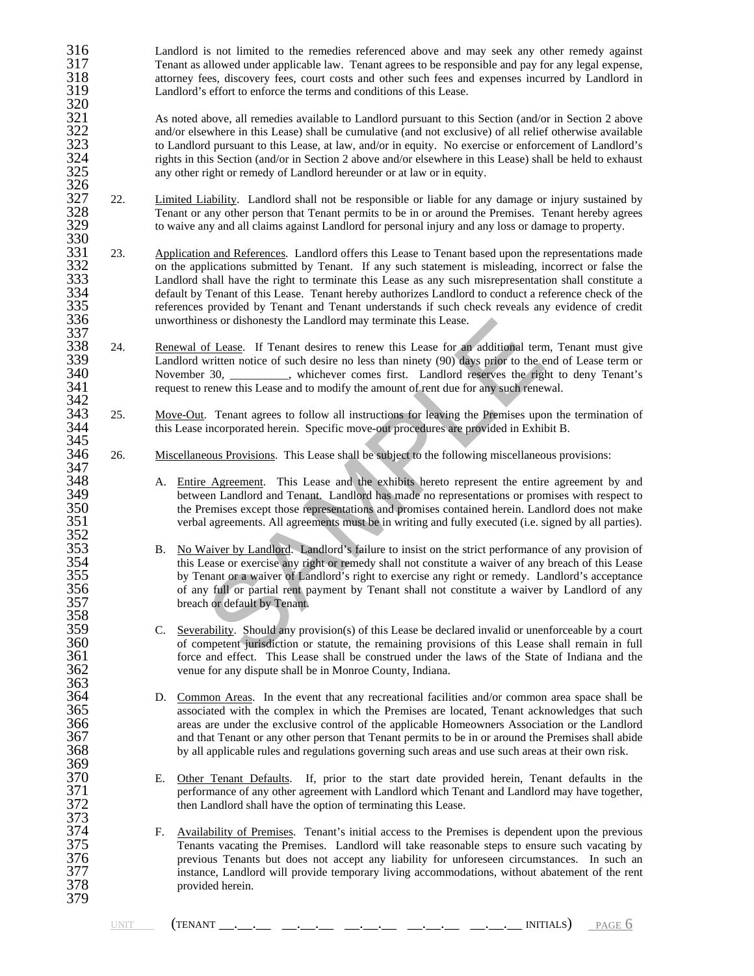316 Landlord is not limited to the remedies referenced above and may seek any other remedy against 317 Tenant as allowed under applicable law. Tenant agrees to be responsible and pay for any legal expense, 317 Tenant as allowed under applicable law. Tenant agrees to be responsible and pay for any legal expense,<br>318 attorney fees, discovery fees, court costs and other such fees and expenses incurred by Landlord in 318 attorney fees, discovery fees, court costs and other such fees and expenses incurred by Landlord in Landlord's effort to enforce the terms and conditions of this Lease. Landlord's effort to enforce the terms and conditions of this Lease.

321 As noted above, all remedies available to Landlord pursuant to this Section (and/or in Section 2 above and/or elsewhere in this Lease) shall be cumulative (and not exclusive) of all relief otherwise available 322 and/or elsewhere in this Lease) shall be cumulative (and not exclusive) of all relief otherwise available<br>323 to Landlord pursuant to this Lease, at law, and/or in equity. No exercise or enforcement of Landlord's 323 to Landlord pursuant to this Lease, at law, and/or in equity. No exercise or enforcement of Landlord's<br>324 rights in this Section (and/or in Section 2 above and/or elsewhere in this Lease) shall be held to exhaust 324 rights in this Section (and/or in Section 2 above and/or elsewhere in this Lease) shall be held to exhaust any other right or remedy of Landlord hereunder or at law or in equity. any other right or remedy of Landlord hereunder or at law or in equity.

- 326<br>327<br>328 22. Limited Liability. Landlord shall not be responsible or liable for any damage or injury sustained by 328 Tenant or any other person that Tenant permits to be in or around the Premises. Tenant hereby agrees to waive any and all claims against Landlord for personal injury and any loss or damage to property. 329 to waive any and all claims against Landlord for personal injury and any loss or damage to property.
- 330<br>331 23. Application and References. Landlord offers this Lease to Tenant based upon the representations made<br>332 on the applications submitted by Tenant. If any such statement is misleading, incorrect or false the 332 on the applications submitted by Tenant. If any such statement is misleading, incorrect or false the 333<br>333 Landlord shall have the right to terminate this Lease as any such misrepresentation shall constitute a 333 Landlord shall have the right to terminate this Lease as any such misrepresentation shall constitute a default by Tenant of this Lease. Tenant hereby authorizes Landlord to conduct a reference check of the references p default by Tenant of this Lease. Tenant hereby authorizes Landlord to conduct a reference check of the 335 references provided by Tenant and Tenant understands if such check reveals any evidence of credit unworthiness or dishonesty the Landlord may terminate this Lease.
- 337<br>338 24. Renewal of Lease. If Tenant desires to renew this Lease for an additional term, Tenant must give<br>339 Landlord written notice of such desire no less than ninety (90) days prior to the end of Lease term or 339 Landlord written notice of such desire no less than ninety (90) days prior to the end of Lease term or 340 November 30, November 30, November 20, Whichever comes first. Landlord reserves the right to deny Tenant's request to renew this Lease and to modify the amount of rent due for any such renewal. request to renew this Lease and to modify the amount of rent due for any such renewal.
- 342<br>343 343 25. Move-Out. Tenant agrees to follow all instructions for leaving the Premises upon the termination of this Lease incorporated herein. Specific move-out procedures are provided in Exhibit B. this Lease incorporated herein. Specific move-out procedures are provided in Exhibit B.
- 345<br>346 346 26. Miscellaneous Provisions. This Lease shall be subject to the following miscellaneous provisions: 347<br>348
- 348 A. Entire Agreement. This Lease and the exhibits hereto represent the entire agreement by and between Landlord and Tenant. Landlord has made no representations or promises with respect to 349 between Landlord and Tenant. Landlord has made no representations or promises with respect to<br>350 the Premises except those representations and promises contained herein. Landlord does not make 350 the Premises except those representations and promises contained herein. Landlord does not make<br>351 starting and fully executed (i.e. signed by all parties). verbal agreements. All agreements must be in writing and fully executed (i.e. signed by all parties).
- or dishonesty the Landlord may terminate this Lease.<br>
Solonomy of Lease. If Tenant desires to renew this Lease for an additional term<br>
written notice of such desire no less than ninety (90) days prior to the e<br>  $\frac{30}{100}$ 353 B. No Waiver by Landlord. Landlord's failure to insist on the strict performance of any provision of this Lease or exercise any right or remedy shall not constitute a waiver of any breach of this Lease this Lease or exercise any right or remedy shall not constitute a waiver of any breach of this Lease<br>355 by Tenant or a waiver of Landlord's right to exercise any right or remedy. Landlord's acceptance<br>356 of any full or p by Tenant or a waiver of Landlord's right to exercise any right or remedy. Landlord's acceptance 356 of any full or partial rent payment by Tenant shall not constitute a waiver by Landlord of any breach or default by Tenant.
- 359 C. Severability. Should any provision(s) of this Lease be declared invalid or unenforceable by a court of competent jurisdiction or statute, the remaining provisions of this Lease shall remain in full 360 of competent jurisdiction or statute, the remaining provisions of this Lease shall remain in full force and effect. This Lease shall be construed under the laws of the State of Indiana and the 361 force and effect. This Lease shall be construed under the laws of the State of Indiana and the venue for any dispute shall be in Monroe County, Indiana. venue for any dispute shall be in Monroe County, Indiana.
- D. Common Areas. In the event that any recreational facilities and/or common area space shall be 365 associated with the complex in which the Premises are located, Tenant acknowledges that such areas are under the exclusive control of the applicable Homeowners Association or the Landlord 366 areas are under the exclusive control of the applicable Homeowners Association or the Landlord<br>367 and that Tenant or any other person that Tenant permits to be in or around the Premises shall abide 367 and that Tenant or any other person that Tenant permits to be in or around the Premises shall abide<br>368 by all applicable rules and regulations governing such areas and use such areas at their own risk. by all applicable rules and regulations governing such areas and use such areas at their own risk.
- 370 E. Other Tenant Defaults. If, prior to the start date provided herein, Tenant defaults in the performance of any other agreement with Landlord which Tenant and Landlord may have together, 371 performance of any other agreement with Landlord which Tenant and Landlord may have together,<br>372 then Landlord shall have the option of terminating this Lease. then Landlord shall have the option of terminating this Lease.
- 374 F. Availability of Premises. Tenant's initial access to the Premises is dependent upon the previous<br>375 Tenants vacating the Premises. Landlord will take reasonable steps to ensure such vacating by 375 Tenants vacating the Premises. Landlord will take reasonable steps to ensure such vacating by<br>376 Tenants but does not accept any liability for unforeseen circumstances. In such an 376 previous Tenants but does not accept any liability for unforeseen circumstances. In such an instance, Landlord will provide temporary living accommodations, without abatement of the rent instance, Landlord will provide temporary living accommodations, without abatement of the rent provided herein.

 $\frac{320}{321}$ 

352<br>353

357<br>358<br>359

363<br>364<br>365

369<br>370

373<br>374

378<br>379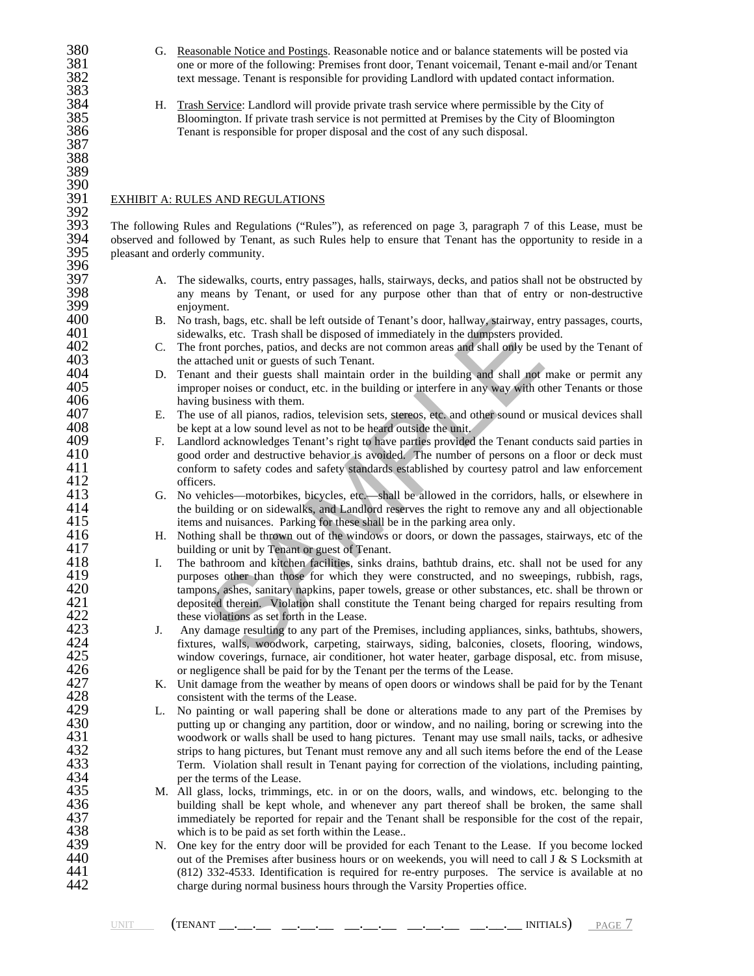380 G. Reasonable Notice and Postings. Reasonable notice and or balance statements will be posted via<br>381 one or more of the following: Premises front door, Tenant voicemail, Tenant e-mail and/or Tenan 381 one or more of the following: Premises front door, Tenant voicemail, Tenant e-mail and/or Tenant text message. Tenant is responsible for providing Landlord with updated contact information. 383<br>384

- 384 H. Trash Service: Landlord will provide private trash service where permissible by the City of Bloomington. If private trash service is not permitted at Premises by the City of Bloomingto 385 Bloomington. If private trash service is not permitted at Premises by the City of Bloomington<br>386 Tenant is responsible for proper disposal and the cost of any such disposal.
- 387 388

# 389 390<br>391

### EXHIBIT A: RULES AND REGULATIONS

392<br>393 393 The following Rules and Regulations ("Rules"), as referenced on page 3, paragraph 7 of this Lease, must be observed and followed by Tenant, as such Rules help to ensure that Tenant has the opportunity to reside in a 394 observed and followed by Tenant, as such Rules help to ensure that Tenant has the opportunity to reside in a pleasant and orderly community. pleasant and orderly community. 396<br>397

Tenant is responsible for proper disposal and the cost of any such disposal.

397 A. The sidewalks, courts, entry passages, halls, stairways, decks, and patios shall not be obstructed by<br>398 any means by Tenant, or used for any purpose other than that of entry or non-destructive 398 any means by Tenant, or used for any purpose other than that of entry or non-destructive 399 enjoyment.<br>400 B. No trash, ba

382 text message. Tenant is responsible for providing Landlord with updated contact information.

- 400 B. No trash, bags, etc. shall be left outside of Tenant's door, hallway, stairway, entry passages, courts, sidewalks, etc. Trash shall be disposed of immediately in the dumpsters provided. 401 sidewalks, etc. Trash shall be disposed of immediately in the dumpsters provided.<br>402 C. The front porches, patios, and decks are not common areas and shall only be used
- 402 C. The front porches, patios, and decks are not common areas and shall only be used by the Tenant of 403 403 the attached unit or guests of such Tenant.<br>404 D. Tenant and their guests shall maintain or
- 404 D. Tenant and their guests shall maintain order in the building and shall not make or permit any improper noises or conduct, etc. in the building or interfere in any way with other Tenants or those 405 improper noises or conduct, etc. in the building or interfere in any way with other Tenants or those having business with them. 406 having business with them.<br>407 E. The use of all pianos, radio
- 407 E. The use of all pianos, radios, television sets, stereos, etc. and other sound or musical devices shall be kept at a low sound level as not to be heard outside the unit. 408 be kept at a low sound level as not to be heard outside the unit.<br>409 F. Landlord acknowledges Tenant's right to have parties provided
- 409 F. Landlord acknowledges Tenant's right to have parties provided the Tenant conducts said parties in good order and destructive behavior is avoided. The number of persons on a floor or deck must 410 good order and destructive behavior is avoided. The number of persons on a floor or deck must<br>411 conform to safety codes and safety standards established by courtesy patrol and law enforcement 411 conform to safety codes and safety standards established by courtesy patrol and law enforcement 412 412 officers.<br>413 G. No vehic
- 413 G. No vehicles—motorbikes, bicycles, etc.—shall be allowed in the corridors, halls, or elsewhere in the building or on sidewalks, and Landlord reserves the right to remove any and all objectionable 414 the building or on sidewalks, and Landlord reserves the right to remove any and all objectionable<br>415 thems and nuisances. Parking for these shall be in the parking area only. 415 items and nuisances. Parking for these shall be in the parking area only.<br>416 H. Nothing shall be thrown out of the windows or doors, or down the pass
- 416 H. Nothing shall be thrown out of the windows or doors, or down the passages, stairways, etc of the building or unit by Tenant or guest of Tenant. 417 building or unit by Tenant or guest of Tenant.<br>418 I. The bathroom and kitchen facilities, sinks di
- ash, bags, etc. shall be left outside of Tenant's door, hallway, stairway, er<br>alks, etc. Trash shall be disposed of immediately in the dumpsters provide<br>not proches, patios, and decks are not common areas and shall only be 418 I. The bathroom and kitchen facilities, sinks drains, bathtub drains, etc. shall not be used for any purposes other than those for which they were constructed, and no sweepings, rubbish, rags, 419 purposes other than those for which they were constructed, and no sweepings, rubbish, rags, 420 tampons, ashes, sanitary napkins, paper towels, grease or other substances, etc. shall be thrown or 420 tampons, ashes, sanitary napkins, paper towels, grease or other substances, etc. shall be thrown or<br>421 deposited therein. Violation shall constitute the Tenant being charged for repairs resulting from 421 deposited therein. Violation shall constitute the Tenant being charged for repairs resulting from<br>422 these violations as set forth in the Lease. 422 these violations as set forth in the Lease.<br>423 J. Any damage resulting to any part of the
- 423 J. Any damage resulting to any part of the Premises, including appliances, sinks, bathtubs, showers, fixtures, walls, woodwork, carpeting, stairways, siding, balconies, closets, flooring, windows, 424 fixtures, walls, woodwork, carpeting, stairways, siding, balconies, closets, flooring, windows, window coverings, furnace, air conditioner, hot water heater, garbage disposal, etc. from misuse, 425 window coverings, furnace, air conditioner, hot water heater, garbage disposal, etc. from misuse, or negligence shall be paid for by the Tenant per the terms of the Lease. 426 or negligence shall be paid for by the Tenant per the terms of the Lease.<br>427 K. Unit damage from the weather by means of open doors or windows shall
- 427 K. Unit damage from the weather by means of open doors or windows shall be paid for by the Tenant<br>428 consistent with the terms of the Lease.<br>429 L. No painting or wall papering shall be done or alterations made to any consistent with the terms of the Lease.
- 429 L. No painting or wall papering shall be done or alterations made to any part of the Premises by putting up or changing any partition, door or window, and no nailing, boring or screwing into the 430 putting up or changing any partition, door or window, and no nailing, boring or screwing into the woodwork or walls shall be used to hang pictures. Tenant may use small nails, tacks, or adhesive 431 woodwork or walls shall be used to hang pictures. Tenant may use small nails, tacks, or adhesive strips to hang pictures, but Tenant must remove any and all such items before the end of the Lease 432 strips to hang pictures, but Tenant must remove any and all such items before the end of the Lease<br>433 Term. Violation shall result in Tenant paying for correction of the violations, including painting, 433 Term. Violation shall result in Tenant paying for correction of the violations, including painting,  $434$ 434 per the terms of the Lease.<br>435 M. All glass, locks, trimming
- 435 M. All glass, locks, trimmings, etc. in or on the doors, walls, and windows, etc. belonging to the building shall be kept whole, and whenever any part thereof shall be broken, the same shall 436 building shall be kept whole, and whenever any part thereof shall be broken, the same shall immediately be reported for repair and the Tenant shall be responsible for the cost of the repair, 437 immediately be reported for repair and the Tenant shall be responsible for the cost of the repair, which is to be paid as set forth within the Lease.. 438 which is to be paid as set forth within the Lease..<br>439 N. One key for the entry door will be provided for
- 439 N. One key for the entry door will be provided for each Tenant to the Lease. If you become locked out of the Premises after business hours or on weekends, you will need to call J & S Locksmith at out of the Premises after business hours or on weekends, you will need to call J & S Locksmith at 441 (812) 332-4533. Identification is required for re-entry purposes. The service is available at no<br>442 charge during normal business hours through the Varsity Properties office. charge during normal business hours through the Varsity Properties office.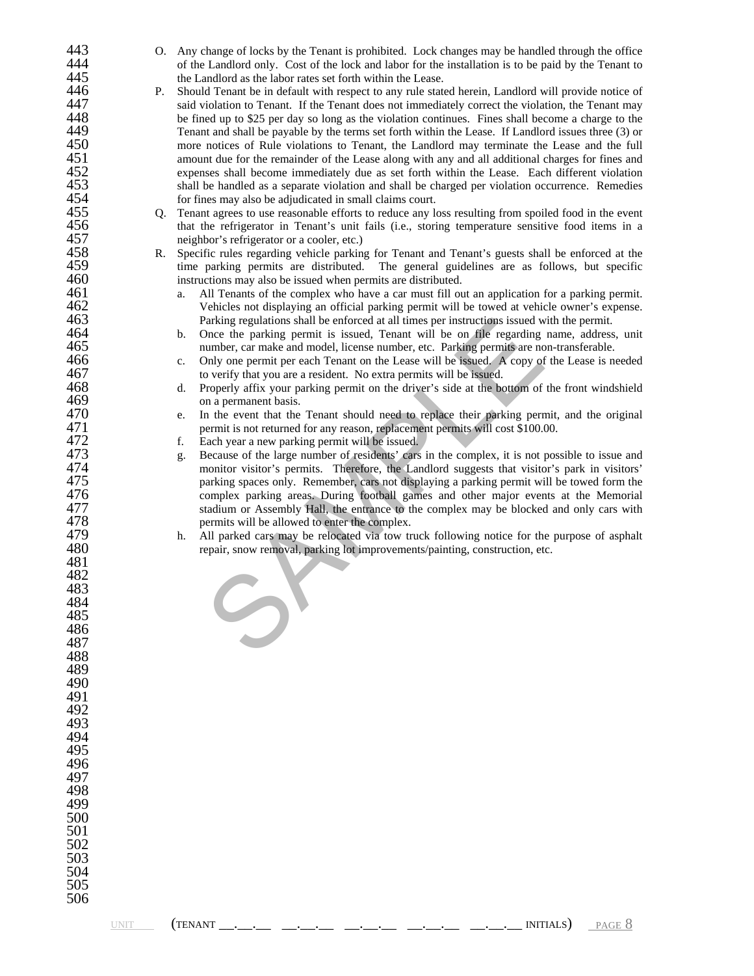| 443 |    |                                                                                                      |
|-----|----|------------------------------------------------------------------------------------------------------|
|     | O. | Any change of locks by the Tenant is prohibited. Lock changes may be handled through the office      |
| 444 |    | of the Landlord only. Cost of the lock and labor for the installation is to be paid by the Tenant to |
| 445 |    | the Landlord as the labor rates set forth within the Lease.                                          |
| 446 | Р. | Should Tenant be in default with respect to any rule stated herein, Landlord will provide notice of  |
| 447 |    | said violation to Tenant. If the Tenant does not immediately correct the violation, the Tenant may   |
| 448 |    | be fined up to \$25 per day so long as the violation continues. Fines shall become a charge to the   |
| 449 |    |                                                                                                      |
|     |    | Tenant and shall be payable by the terms set forth within the Lease. If Landlord issues three (3) or |
| 450 |    | more notices of Rule violations to Tenant, the Landlord may terminate the Lease and the full         |
| 451 |    | amount due for the remainder of the Lease along with any and all additional charges for fines and    |
| 452 |    | expenses shall become immediately due as set forth within the Lease. Each different violation        |
| 453 |    | shall be handled as a separate violation and shall be charged per violation occurrence. Remedies     |
| 454 |    | for fines may also be adjudicated in small claims court.                                             |
| 455 | Q. | Tenant agrees to use reasonable efforts to reduce any loss resulting from spoiled food in the event  |
| 456 |    | that the refrigerator in Tenant's unit fails (i.e., storing temperature sensitive food items in a    |
| 457 |    |                                                                                                      |
|     |    | neighbor's refrigerator or a cooler, etc.)                                                           |
| 458 | R. | Specific rules regarding vehicle parking for Tenant and Tenant's guests shall be enforced at the     |
| 459 |    | time parking permits are distributed. The general guidelines are as follows, but specific            |
| 460 |    | instructions may also be issued when permits are distributed.                                        |
| 461 |    | All Tenants of the complex who have a car must fill out an application for a parking permit.<br>a.   |
| 462 |    | Vehicles not displaying an official parking permit will be towed at vehicle owner's expense.         |
| 463 |    | Parking regulations shall be enforced at all times per instructions issued with the permit.          |
| 464 |    | Once the parking permit is issued, Tenant will be on file regarding name, address, unit<br>b.        |
| 465 |    |                                                                                                      |
|     |    | number, car make and model, license number, etc. Parking permits are non-transferable.               |
| 466 |    | Only one permit per each Tenant on the Lease will be issued. A copy of the Lease is needed<br>c.     |
| 467 |    | to verify that you are a resident. No extra permits will be issued.                                  |
| 468 |    | Properly affix your parking permit on the driver's side at the bottom of the front windshield<br>d.  |
| 469 |    | on a permanent basis.                                                                                |
| 470 |    | In the event that the Tenant should need to replace their parking permit, and the original<br>e.     |
| 471 |    | permit is not returned for any reason, replacement permits will cost \$100.00.                       |
| 472 |    | Each year a new parking permit will be issued.<br>f.                                                 |
| 473 |    |                                                                                                      |
|     |    | Because of the large number of residents' cars in the complex, it is not possible to issue and<br>g. |
| 474 |    | monitor visitor's permits. Therefore, the Landlord suggests that visitor's park in visitors'         |
| 475 |    | parking spaces only. Remember, cars not displaying a parking permit will be towed form the           |
| 476 |    | complex parking areas. During football games and other major events at the Memorial                  |
| 477 |    | stadium or Assembly Hall, the entrance to the complex may be blocked and only cars with              |
| 478 |    | permits will be allowed to enter the complex.                                                        |
| 479 |    | All parked cars may be relocated via tow truck following notice for the purpose of asphalt<br>h.     |
| 480 |    | repair, snow removal, parking lot improvements/painting, construction, etc.                          |
| 481 |    |                                                                                                      |
|     |    |                                                                                                      |
| 482 |    |                                                                                                      |
| 483 |    |                                                                                                      |
| 484 |    |                                                                                                      |
| 485 |    |                                                                                                      |
| 486 |    |                                                                                                      |
| 487 |    |                                                                                                      |
| 488 |    |                                                                                                      |
| 489 |    |                                                                                                      |
| 490 |    |                                                                                                      |
|     |    |                                                                                                      |
| 491 |    |                                                                                                      |
| 492 |    |                                                                                                      |
| 493 |    |                                                                                                      |
| 494 |    |                                                                                                      |
| 495 |    |                                                                                                      |
| 496 |    |                                                                                                      |
| 497 |    |                                                                                                      |
| 498 |    |                                                                                                      |
|     |    |                                                                                                      |
| 499 |    |                                                                                                      |
| 500 |    |                                                                                                      |
| 501 |    |                                                                                                      |
| 502 |    |                                                                                                      |
| 503 |    |                                                                                                      |
| 504 |    |                                                                                                      |
| 505 |    |                                                                                                      |
| 506 |    |                                                                                                      |
|     |    |                                                                                                      |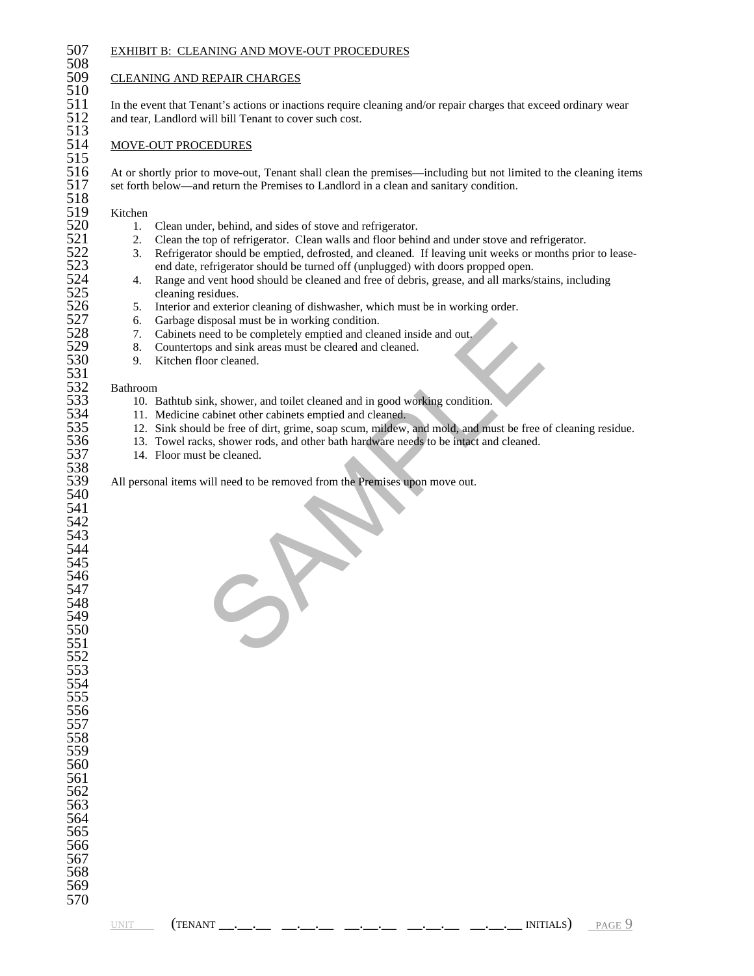508<br>509

 $\frac{510}{511}$ 

# 507 EXHIBIT B: CLEANING AND MOVE-OUT PROCEDURES

## **CLEANING AND REPAIR CHARGES**

511 In the event that Tenant's actions or inactions require cleaning and/or repair charges that exceed ordinary wear<br>512 and tear, Landlord will bill Tenant to cover such cost. and tear, Landlord will bill Tenant to cover such cost.

## 513<br>514 MOVE-OUT PROCEDURES 515<br>516

516 At or shortly prior to move-out, Tenant shall clean the premises—including but not limited to the cleaning items set forth below—and return the Premises to Landlord in a clean and sanitary condition. set forth below—and return the Premises to Landlord in a clean and sanitary condition.

518<br>519 519 Kitchen<br>520 1.

- 
- 521 2. Clean the top of refrigerator. Clean walls and floor behind and under stove and refrigerator.<br>
2. Refrigerator should be emptied, defrosted, and cleaned. If leaving unit weeks or months prior
- 520 1. Clean under, behind, and sides of stove and refrigerator.<br>521 2. Clean the top of refrigerator. Clean walls and floor behi<br>522 3. Refrigerator should be emptied, defrosted, and cleaned. 522 3. Refrigerator should be emptied, defrosted, and cleaned. If leaving unit weeks or months prior to lease-<br>523 and date, refrigerator should be turned off (unplugged) with doors propped open. 523 end date, refrigerator should be turned off (unplugged) with doors propped open.<br>524 4. Range and vent hood should be cleaned and free of debris, grease, and all marks/s
- 524 4. Range and vent hood should be cleaned and free of debris, grease, and all marks/stains, including cleaning residues.<br>526 5. Interior and exterior cleaning of dishwasher, which must be in working order. cleaning residues.
- 526 5. Interior and exterior cleaning of dishwasher, which must be in working order.<br>527 6. Garbage disposal must be in working condition.
	- - 7. Cabinets need to be completely emptied and cleaned inside and out.
- 527 6. Garbage disposal must be in working condition.<br>528 7. Cabinets need to be completely emptied and cleared 329 8. Countertops and sink areas must be cleared and of 529 8. Countertops and sink areas must be cleared and cleaned.<br>530 9. Kitchen floor cleaned.
	- 9. Kitchen floor cleaned.

#### **Bathroom**

- 533 10. Bathtub sink, shower, and toilet cleaned and in good working condition.<br>534 11. Medicine cabinet other cabinets emptied and cleaned.
- 534 11. Medicine cabinet other cabinets emptied and cleaned.<br>535 12. Sink should be free of dirt, grime, soap scum, mildew,
- isposal must be in working condition.<br>
the act to be completely emptied and cleaned inside and out.<br>
the some of the condition and the cleared and in good working condition.<br>
Ark, shower roots, and toilet cleaned and in go 535 12. Sink should be free of dirt, grime, soap scum, mildew, and mold, and must be free of cleaning residue.<br>536 13. Towel racks, shower rods, and other bath hardware needs to be intact and cleaned.
- 536 13. Towel racks, shower rods, and other bath hardware needs to be intact and cleaned.<br>537 14. Floor must be cleaned.
	- 14. Floor must be cleaned.

All personal items will need to be removed from the Premises upon move out.

| 545 |  |
|-----|--|
| 546 |  |
| 547 |  |
| 548 |  |
| 549 |  |

531<br>532<br>533

538

| (TENAN |
|--------|
|        |